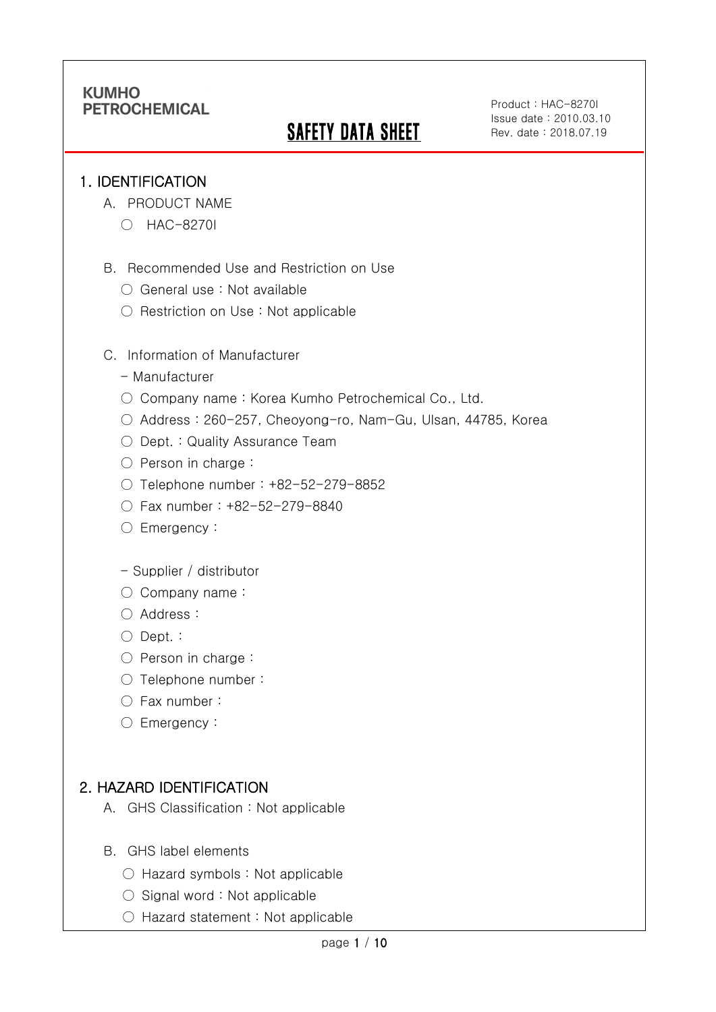# **SAFETY DATA SHEET**

Product : HAC-8270I Issue date : 2010.03.10 Rev. date : 2018.07.19

#### 1. IDENTIFICATION

Ī

- A. PRODUCT NAME
	- HAC-8270I
- B. Recommended Use and Restriction on Use
	- General use : Not available
	- Restriction on Use : Not applicable
- C. Information of Manufacturer
	- Manufacturer
	- Company name: Korea Kumho Petrochemical Co., Ltd.
	- Address : 260-257, Cheoyong-ro, Nam-Gu, Ulsan, 44785, Korea
	- Dept. : Quality Assurance Team
	- Person in charge :
	- Telephone number : +82-52-279-8852
	- Fax number : +82-52-279-8840
	- Emergency:
	- Supplier / distributor
	- Company name:
	- Address :
	- Dept. :
	- Person in charge :
	- Telephone number :
	- Fax number :
	- Emergency:

## 2. HAZARD IDENTIFICATION

- A. GHS Classification : Not applicable
- B. GHS label elements
	- Hazard symbols : Not applicable
	- $\bigcirc$  Signal word : Not applicable
	- Hazard statement : Not applicable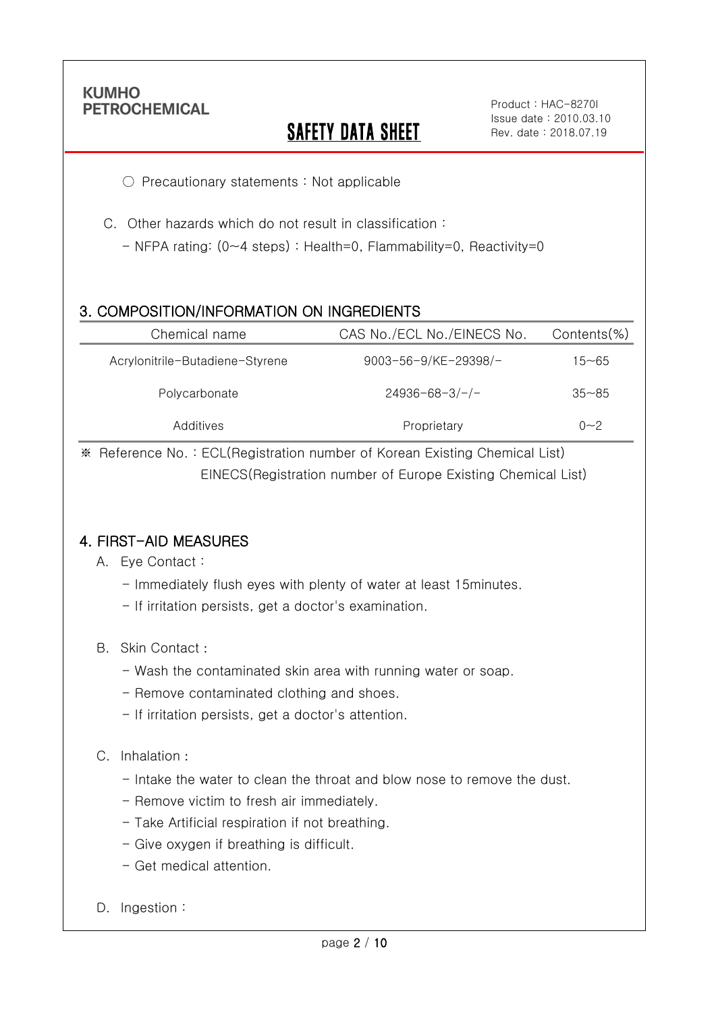Ī

# **SAFETY DATA SHEET**

○ Precautionary statements : Not applicable

C. Other hazards which do not result in classification :

- NFPA rating: (0~4 steps) : Health=0, Flammability=0, Reactivity=0

## 3. COMPOSITION/INFORMATION ON INGREDIENTS

| Chemical name                   | CAS No./ECL No./EINECS No. | $Contents$ %) |
|---------------------------------|----------------------------|---------------|
| Acrylonitrile-Butadiene-Styrene | 9003-56-9/KE-29398/-       | 15~65         |
| Polycarbonate                   | $24936 - 68 - 3/-/-$       | $35 - 85$     |
| Additives                       | Proprietary                | $0 - 2$       |

※ Reference No. : ECL(Registration number of Korean Existing Chemical List) EINECS(Registration number of Europe Existing Chemical List)

### 4. FIRST-AID MEASURES

- A. Eye Contact :
	- Immediately flush eyes with plenty of water at least 15minutes.
	- If irritation persists, get a doctor's examination.
- B. Skin Contact :
	- Wash the contaminated skin area with running water or soap.
	- Remove contaminated clothing and shoes.
	- If irritation persists, get a doctor's attention.

#### C. Inhalation :

- Intake the water to clean the throat and blow nose to remove the dust.
- Remove victim to fresh air immediately.
- Take Artificial respiration if not breathing.
- Give oxygen if breathing is difficult.
- Get medical attention.
- D. Ingestion: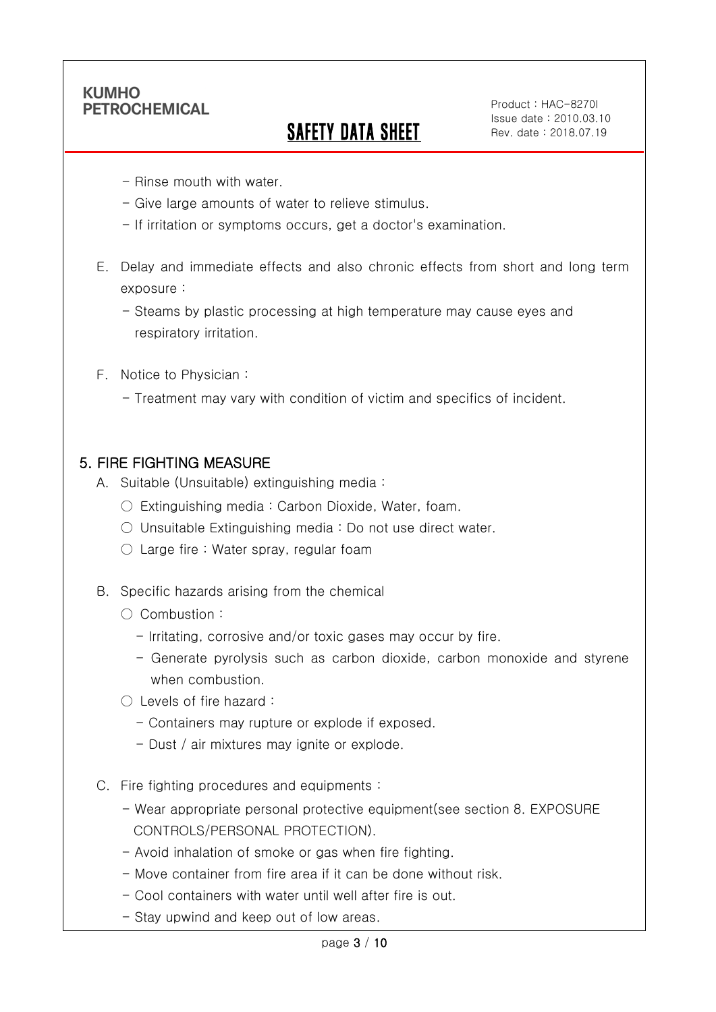Ī

## SAFETY DATA SHEET

Product : HAC-8270I Issue date : 2010.03.10 Rev. date : 2018.07.19

- Rinse mouth with water.
- Give large amounts of water to relieve stimulus.
- If irritation or symptoms occurs, get a doctor's examination.
- E. Delay and immediate effects and also chronic effects from short and long term exposure :
	- Steams by plastic processing at high temperature may cause eyes and respiratory irritation.
- F. Notice to Physician :
	- Treatment may vary with condition of victim and specifics of incident.

#### 5. FIRE FIGHTING MEASURE

- A. Suitable (Unsuitable) extinguishing media :
	- Extinguishing media : Carbon Dioxide, Water, foam.
	- Unsuitable Extinguishing media : Do not use direct water.
	- $\circlearrowright$  Large fire : Water spray, regular foam
- B. Specific hazards arising from the chemical
	- Combustion :
		- Irritating, corrosive and/or toxic gases may occur by fire.
		- Generate pyrolysis such as carbon dioxide, carbon monoxide and styrene when combustion.
	- Levels of fire hazard :
		- Containers may rupture or explode if exposed.
		- Dust / air mixtures may ignite or explode.
- C. Fire fighting procedures and equipments :
	- Wear appropriate personal protective equipment(see section 8. EXPOSURE CONTROLS/PERSONAL PROTECTION).
	- Avoid inhalation of smoke or gas when fire fighting.
	- Move container from fire area if it can be done without risk.
	- Cool containers with water until well after fire is out.
	- Stay upwind and keep out of low areas.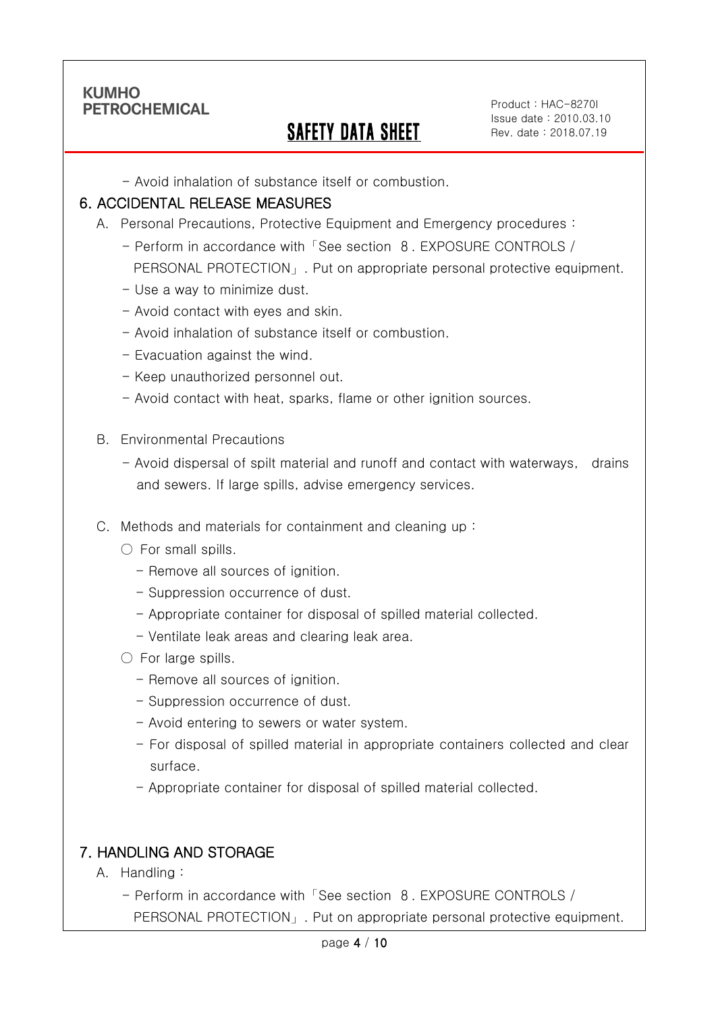Ī

## SAFETY DATA SHEET

Product : HAC-8270I Issue date : 2010.03.10 Rev. date : 2018.07.19

- Avoid inhalation of substance itself or combustion.

#### 6. ACCIDENTAL RELEASE MEASURES

- A. Personal Precautions, Protective Equipment and Emergency procedures :
	- Perform in accordance with「See section 8. EXPOSURE CONTROLS / PERSONAL PROTECTION」. Put on appropriate personal protective equipment.
	- Use a way to minimize dust.
	- Avoid contact with eyes and skin.
	- Avoid inhalation of substance itself or combustion.
	- Evacuation against the wind.
	- Keep unauthorized personnel out.
	- Avoid contact with heat, sparks, flame or other ignition sources.
- B. Environmental Precautions
	- Avoid dispersal of spilt material and runoff and contact with waterways, drains and sewers. If large spills, advise emergency services.
- C. Methods and materials for containment and cleaning up :
	- $\bigcirc$  For small spills.
		- Remove all sources of ignition.
		- Suppression occurrence of dust.
		- Appropriate container for disposal of spilled material collected.
		- Ventilate leak areas and clearing leak area.
	- For large spills.
		- Remove all sources of ignition.
		- Suppression occurrence of dust.
		- Avoid entering to sewers or water system.
		- For disposal of spilled material in appropriate containers collected and clear surface.
		- Appropriate container for disposal of spilled material collected.

## 7. HANDLING AND STORAGE

- A. Handling :
	- Perform in accordance with「See section 8. EXPOSURE CONTROLS / PERSONAL PROTECTION」. Put on appropriate personal protective equipment.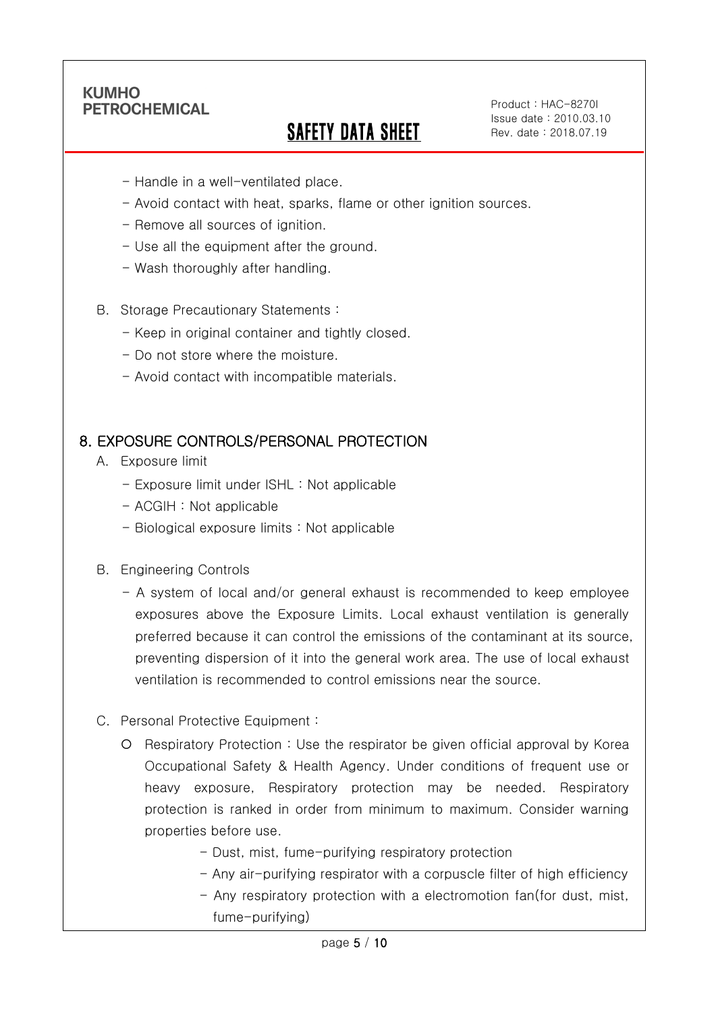Ī

## SAFETY DATA SHEET

Product : HAC-8270I Issue date : 2010.03.10 Rev. date : 2018.07.19

- Handle in a well-ventilated place.
- Avoid contact with heat, sparks, flame or other ignition sources.
- Remove all sources of ignition.
- Use all the equipment after the ground.
- Wash thoroughly after handling.
- B. Storage Precautionary Statements :
	- Keep in original container and tightly closed.
	- Do not store where the moisture.
	- Avoid contact with incompatible materials.

#### 8. EXPOSURE CONTROLS/PERSONAL PROTECTION

- A. Exposure limit
	- Exposure limit under ISHL : Not applicable
	- ACGIH : Not applicable
	- Biological exposure limits : Not applicable
- B. Engineering Controls
	- A system of local and/or general exhaust is recommended to keep employee exposures above the Exposure Limits. Local exhaust ventilation is generally preferred because it can control the emissions of the contaminant at its source, preventing dispersion of it into the general work area. The use of local exhaust ventilation is recommended to control emissions near the source.
- C. Personal Protective Equipment :
	- Respiratory Protection : Use the respirator be given official approval by Korea Occupational Safety & Health Agency. Under conditions of frequent use or heavy exposure, Respiratory protection may be needed. Respiratory protection is ranked in order from minimum to maximum. Consider warning properties before use.
		- Dust, mist, fume-purifying respiratory protection
		- Any air-purifying respirator with a corpuscle filter of high efficiency
		- Any respiratory protection with a electromotion fan(for dust, mist, fume-purifying)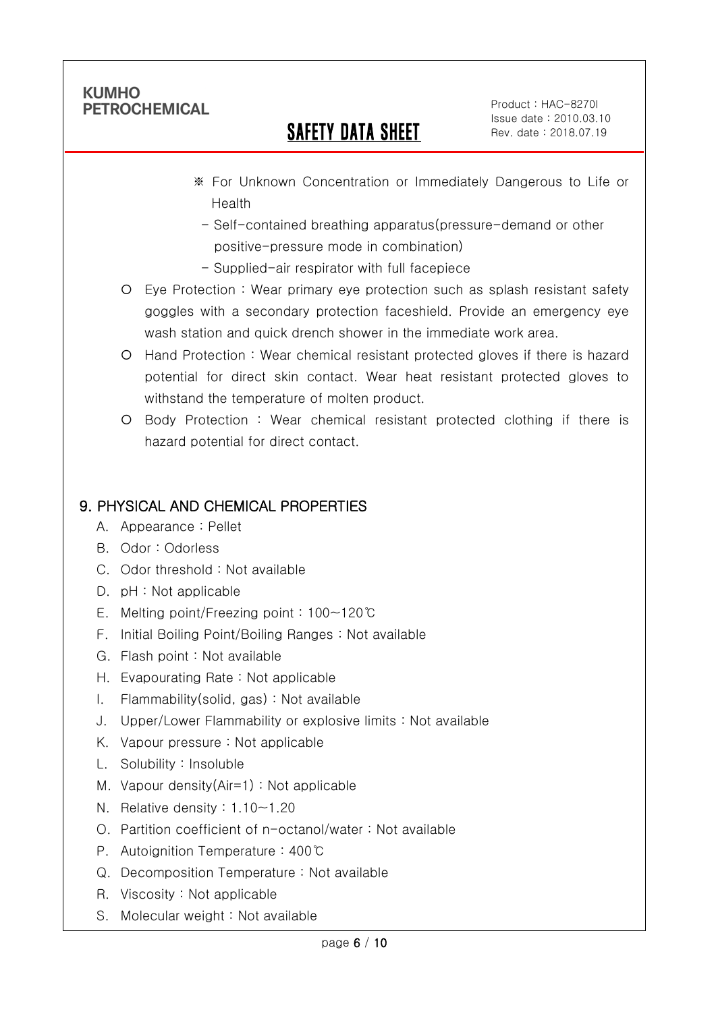Ī

## SAFETY DATA SHEET

Product : HAC-8270I Issue date : 2010.03.10 Rev. date : 2018.07.19

- ※ For Unknown Concentration or Immediately Dangerous to Life or Health
	- Self-contained breathing apparatus(pressure-demand or other positive-pressure mode in combination)
- Supplied-air respirator with full facepiece
- Eye Protection : Wear primary eye protection such as splash resistant safety goggles with a secondary protection faceshield. Provide an emergency eye wash station and quick drench shower in the immediate work area.
- Hand Protection : Wear chemical resistant protected gloves if there is hazard potential for direct skin contact. Wear heat resistant protected gloves to withstand the temperature of molten product.
- Body Protection : Wear chemical resistant protected clothing if there is hazard potential for direct contact.

## 9. PHYSICAL AND CHEMICAL PROPERTIES

- A. Appearance : Pellet
- B. Odor : Odorless
- C. Odor threshold : Not available
- D. pH : Not applicable
- E. Melting point/Freezing point : 100~120℃
- F. Initial Boiling Point/Boiling Ranges : Not available
- G. Flash point : Not available
- H. Evapourating Rate : Not applicable
- I. Flammability(solid, gas) : Not available
- J. Upper/Lower Flammability or explosive limits : Not available
- K. Vapour pressure : Not applicable
- L. Solubility : Insoluble
- M. Vapour density(Air=1) : Not applicable
- N. Relative density : 1.10~1.20
- O. Partition coefficient of n-octanol/water : Not available
- P. Autoignition Temperature : 400℃
- Q. Decomposition Temperature : Not available
- R. Viscosity : Not applicable
- S. Molecular weight : Not available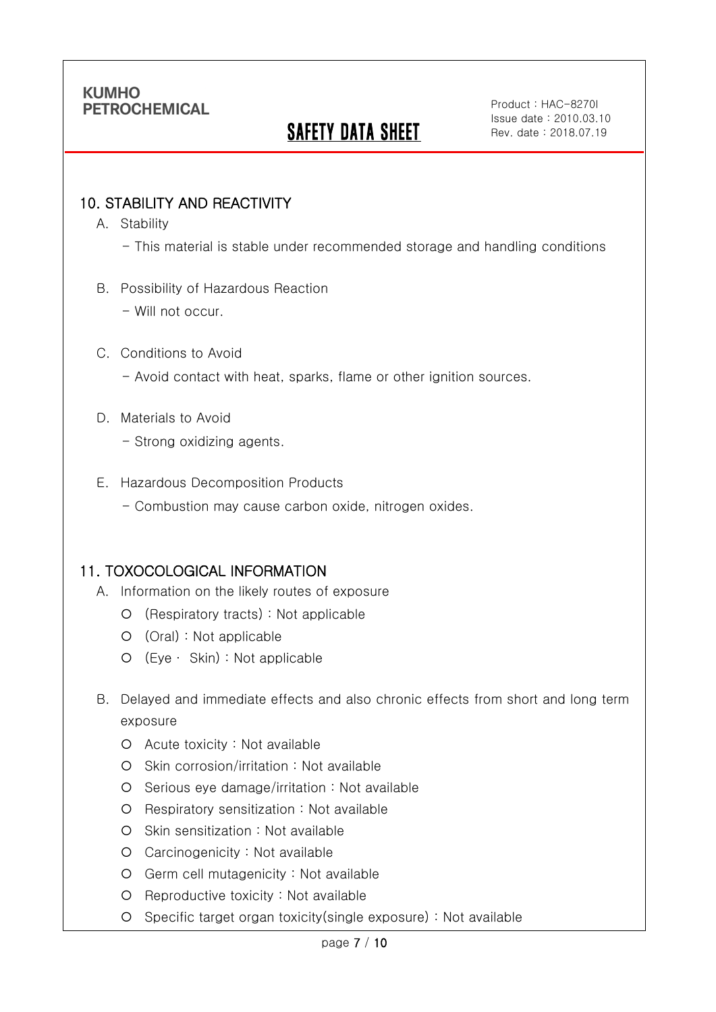# **SAFETY DATA SHEET**

Product : HAC-8270I Issue date : 2010.03.10 Rev. date : 2018.07.19

### 10. STABILITY AND REACTIVITY

A. Stability

Ī

- This material is stable under recommended storage and handling conditions
- B. Possibility of Hazardous Reaction
	- Will not occur.

#### C. Conditions to Avoid

- Avoid contact with heat, sparks, flame or other ignition sources.

#### D. Materials to Avoid

- Strong oxidizing agents.

#### E. Hazardous Decomposition Products

- Combustion may cause carbon oxide, nitrogen oxides.

### 11. TOXOCOLOGICAL INFORMATION

- A. Information on the likely routes of exposure
	- (Respiratory tracts) : Not applicable
	- (Oral) : Not applicable
	- (Eye ∙ Skin) : Not applicable
- B. Delayed and immediate effects and also chronic effects from short and long term exposure
	- Acute toxicity : Not available
	- O Skin corrosion/irritation : Not available
	- $O$  Serious eye damage/irritation : Not available
	- Respiratory sensitization : Not available
	- O Skin sensitization : Not available
	- Carcinogenicity : Not available
	- Germ cell mutagenicity : Not available
	- O Reproductive toxicity : Not available
	- Specific target organ toxicity(single exposure) : Not available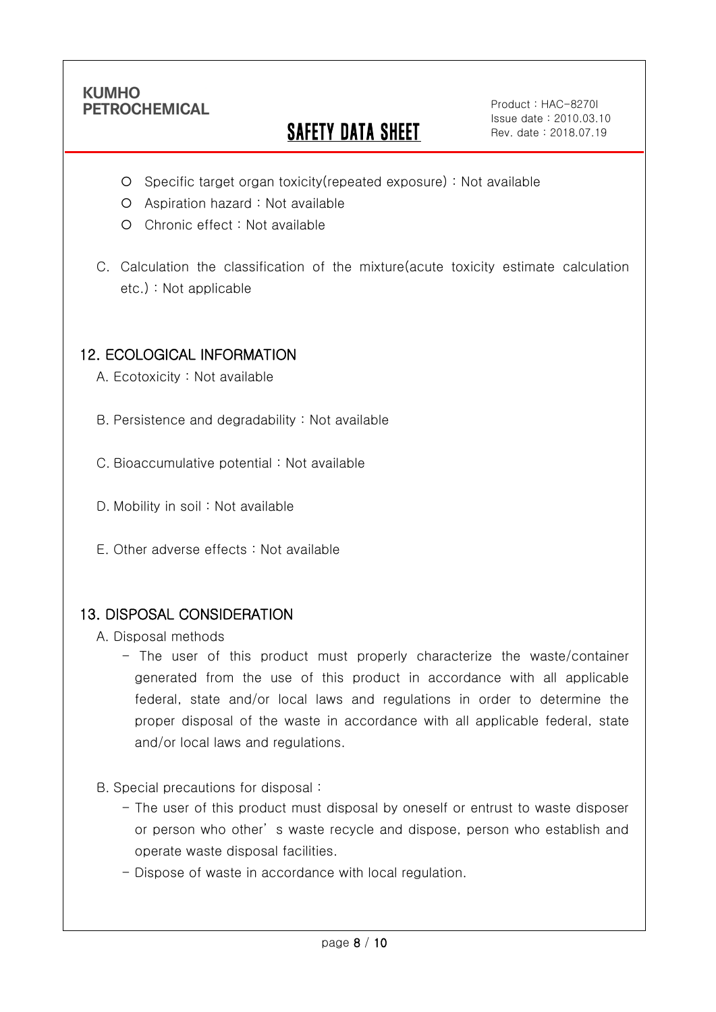Ī

# **SAFETY DATA SHEET**

Product : HAC-8270I Issue date : 2010.03.10 Rev. date : 2018.07.19

- Specific target organ toxicity(repeated exposure) : Not available
- Aspiration hazard : Not available
- Chronic effect : Not available
- C. Calculation the classification of the mixture(acute toxicity estimate calculation etc.) : Not applicable

## 12. ECOLOGICAL INFORMATION

A. Ecotoxicity : Not available

B. Persistence and degradability : Not available

C. Bioaccumulative potential : Not available

- D. Mobility in soil : Not available
- E. Other adverse effects : Not available

### 13. DISPOSAL CONSIDERATION

A. Disposal methods

- The user of this product must properly characterize the waste/container generated from the use of this product in accordance with all applicable federal, state and/or local laws and regulations in order to determine the proper disposal of the waste in accordance with all applicable federal, state and/or local laws and regulations.
- B. Special precautions for disposal :
	- The user of this product must disposal by oneself or entrust to waste disposer or person who other' s waste recycle and dispose, person who establish and operate waste disposal facilities.
	- Dispose of waste in accordance with local regulation.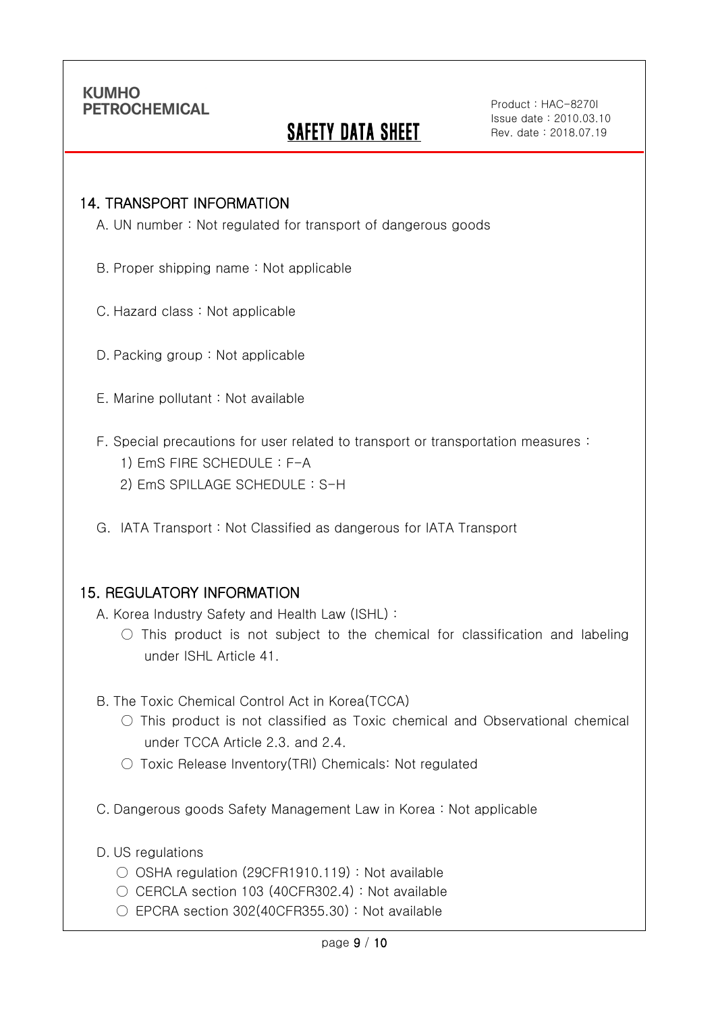Ī

## **SAFETY DATA SHEET**

#### 14. TRANSPORT INFORMATION

A. UN number : Not regulated for transport of dangerous goods

- B. Proper shipping name : Not applicable
- C. Hazard class : Not applicable
- D. Packing group : Not applicable
- E. Marine pollutant : Not available
- F. Special precautions for user related to transport or transportation measures :
	- 1) EmS FIRE SCHEDULE : F-A
	- 2) EmS SPILLAGE SCHEDULE : S-H
- G. IATA Transport : Not Classified as dangerous for IATA Transport

### 15. REGULATORY INFORMATION

A. Korea Industry Safety and Health Law (ISHL) :

- $\bigcirc$  This product is not subject to the chemical for classification and labeling under ISHL Article 41.
- B. The Toxic Chemical Control Act in Korea(TCCA)
	- $\bigcirc$  This product is not classified as Toxic chemical and Observational chemical under TCCA Article 2.3. and 2.4.
	- Toxic Release Inventory(TRI) Chemicals: Not regulated
- C. Dangerous goods Safety Management Law in Korea : Not applicable
- D. US regulations
	- OSHA regulation (29CFR1910.119) : Not available
	- CERCLA section 103 (40CFR302.4) : Not available
	- $\circ$  EPCRA section 302(40CFR355.30) : Not available